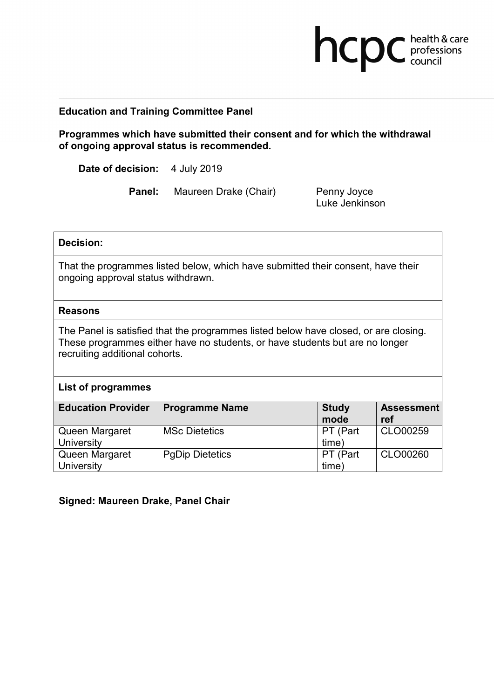# **Education and Training Committee Panel**

**Programmes which have submitted their consent and for which the withdrawal of ongoing approval status is recommended.**

**Date of decision:** 4 July 2019

**Panel:** Maureen Drake (Chair) Penny Joyce

Luke Jenkinson

**health & care** 

### **Decision:**

That the programmes listed below, which have submitted their consent, have their ongoing approval status withdrawn.

#### **Reasons**

The Panel is satisfied that the programmes listed below have closed, or are closing. These programmes either have no students, or have students but are no longer recruiting additional cohorts.

#### **List of programmes**

| <b>Education Provider</b> | <b>Programme Name</b>  | <b>Study</b><br>mode | <b>Assessment</b><br>ref |
|---------------------------|------------------------|----------------------|--------------------------|
| Queen Margaret            | <b>MSc Dietetics</b>   | PT (Part             | CLO00259                 |
| University                |                        | time)                |                          |
| Queen Margaret            | <b>PgDip Dietetics</b> | PT (Part             | CLO00260                 |
| University                |                        | time)                |                          |

## **Signed: Maureen Drake, Panel Chair**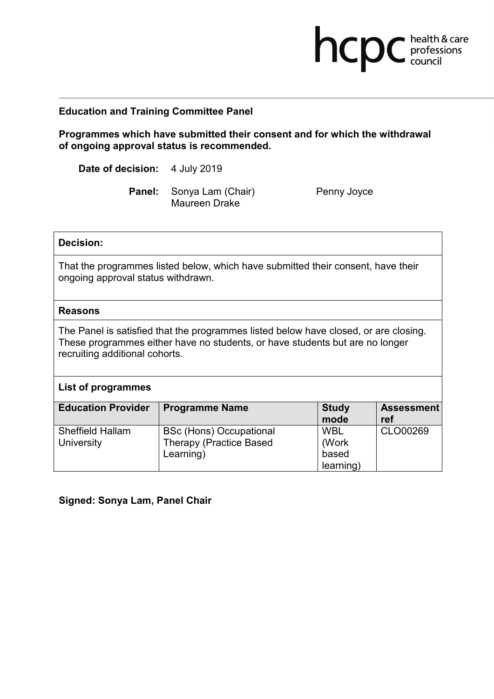# **Education and Training Committee Panel**

**Programmes which have submitted their consent and for which the withdrawal of ongoing approval status is recommended.**

**Date of decision:** 4 July 2019

Panel: Sonya Lam (Chair) Penny Joyce Maureen Drake

**health & care** 

### **Decision:**

That the programmes listed below, which have submitted their consent, have their ongoing approval status withdrawn.

#### **Reasons**

The Panel is satisfied that the programmes listed below have closed, or are closing. These programmes either have no students, or have students but are no longer recruiting additional cohorts.

## **List of programmes**

| <b>Education Provider</b>             | <b>Programme Name</b>                                                         | <b>Study</b><br>mode                      | <b>Assessment</b><br>ref |
|---------------------------------------|-------------------------------------------------------------------------------|-------------------------------------------|--------------------------|
| <b>Sheffield Hallam</b><br>University | <b>BSc (Hons) Occupational</b><br><b>Therapy (Practice Based</b><br>Learning) | <b>WBL</b><br>(Work<br>based<br>learning) | CLO00269                 |

## **Signed: Sonya Lam, Panel Chair**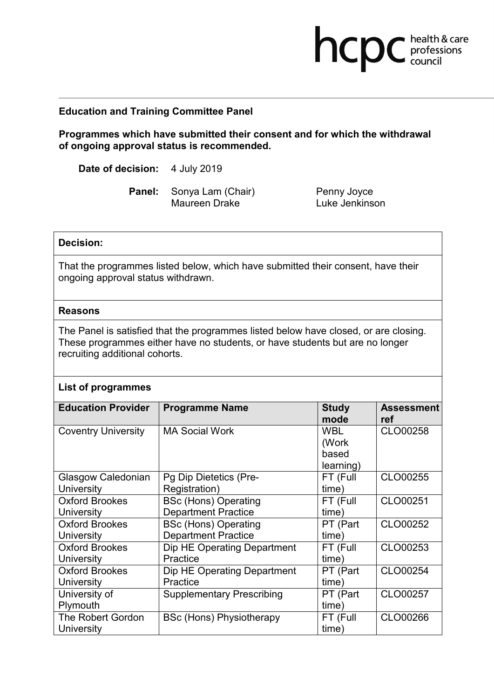### **Education and Training Committee Panel**

**Programmes which have submitted their consent and for which the withdrawal of ongoing approval status is recommended.**

**Date of decision:** 4 July 2019

Panel: Sonya Lam (Chair) Penny Joyce Maureen Drake Luke Jenkinson

**health & care** 

#### **Decision:**

That the programmes listed below, which have submitted their consent, have their ongoing approval status withdrawn.

#### **Reasons**

The Panel is satisfied that the programmes listed below have closed, or are closing. These programmes either have no students, or have students but are no longer recruiting additional cohorts.

#### **List of programmes**

| <b>Education Provider</b>  | <b>Programme Name</b>            | <b>Study</b> | <b>Assessment</b> |
|----------------------------|----------------------------------|--------------|-------------------|
|                            |                                  | mode         | ref               |
| <b>Coventry University</b> | <b>MA Social Work</b>            | <b>WBL</b>   | CLO00258          |
|                            |                                  | (Work        |                   |
|                            |                                  | based        |                   |
|                            |                                  | learning)    |                   |
| Glasgow Caledonian         | Pg Dip Dietetics (Pre-           | FT (Full     | CLO00255          |
| University                 | Registration)                    | (time        |                   |
| <b>Oxford Brookes</b>      | <b>BSc (Hons) Operating</b>      | FT (Full     | CLO00251          |
| University                 | <b>Department Practice</b>       | time)        |                   |
| <b>Oxford Brookes</b>      | <b>BSc (Hons) Operating</b>      | PT (Part     | CLO00252          |
| University                 | <b>Department Practice</b>       | time)        |                   |
| <b>Oxford Brookes</b>      | Dip HE Operating Department      | FT (Full     | CLO00253          |
| University                 | Practice                         | (time        |                   |
| <b>Oxford Brookes</b>      | Dip HE Operating Department      | PT (Part     | CLO00254          |
| University                 | Practice                         | time)        |                   |
| University of              | <b>Supplementary Prescribing</b> | PT (Part     | CLO00257          |
| Plymouth                   |                                  | time)        |                   |
| <b>The Robert Gordon</b>   | <b>BSc (Hons) Physiotherapy</b>  | FT (Full     | CLO00266          |
| University                 |                                  | time)        |                   |